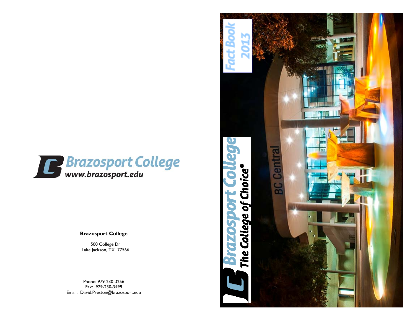

**Brazosport College** 

500 College Dr Lake Jackson, TX 77566

Phone: 979-230-3256 Fax: 979-230-3499 Email: David.Preston@brazosport.edu

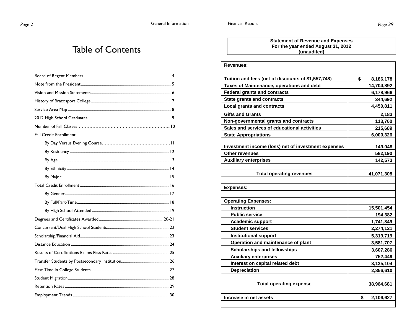#### Table of Contents

| <b>Fall Credit Enrollment</b> |
|-------------------------------|
|                               |
|                               |
|                               |
|                               |
|                               |
|                               |
|                               |
|                               |
|                               |
|                               |
|                               |
|                               |
|                               |
|                               |
|                               |
|                               |
|                               |
|                               |
|                               |

#### **Statement of Revenue and Expenses For the year ended August 31, 2012 (unaudited)**

| <b>Revenues:</b>                                    |                 |
|-----------------------------------------------------|-----------------|
|                                                     |                 |
| Tuition and fees (net of discounts of \$1,557,748)  | \$<br>8,186,178 |
| Taxes of Maintenance, operations and debt           | 14,704,892      |
| <b>Federal grants and contracts</b>                 | 6,178,966       |
| <b>State grants and contracts</b>                   | 344,692         |
| <b>Local grants and contracts</b>                   | 4,450,811       |
| <b>Gifts and Grants</b>                             | 2,183           |
| Non-governmental grants and contracts               | 113,760         |
| Sales and services of educational activities        | 215,689         |
| <b>State Appropriations</b>                         | 6,000,326       |
|                                                     |                 |
| Investment income (loss) net of investment expenses | 149,048         |
| Other revenues                                      | 582,190         |
| <b>Auxiliary enterprises</b>                        | 142,573         |
|                                                     |                 |
| <b>Total operating revenues</b>                     | 41,071,308      |
|                                                     |                 |
| <b>Expenses:</b>                                    |                 |
|                                                     |                 |
| <b>Operating Expenses:</b>                          |                 |
| <b>Instruction</b>                                  | 15,501,454      |
| <b>Public service</b>                               | 194,382         |
| <b>Academic support</b>                             | 1,741,849       |
| <b>Student services</b>                             | 2,274,121       |
| <b>Institutional support</b>                        | 5,319,719       |
| Operation and maintenance of plant                  | 3,581,707       |
| <b>Scholarships and fellowships</b>                 | 3,607,286       |
| <b>Auxiliary enterprises</b>                        | 752,449         |
| Interest on capital related debt                    | 3,135,104       |
| <b>Depreciation</b>                                 | 2,856,610       |
|                                                     |                 |
| <b>Total operating expense</b>                      | 38,964,681      |
|                                                     |                 |
| Increase in net assets                              | \$<br>2,106,627 |
|                                                     |                 |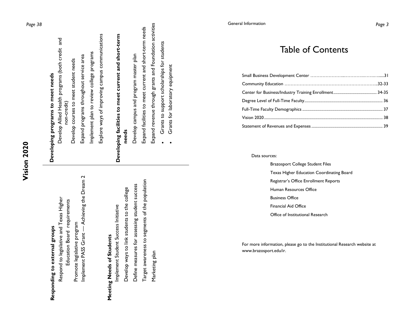| U      |
|--------|
| ¢<br>J |
| с      |
| N      |
| ⊆      |
| О      |
| 4<br>Ĺ |
| ı,     |
| ٠      |

| Ì<br>í |  |
|--------|--|
| ì      |  |
| ž<br>۱ |  |
| è      |  |

 Respond to legislative and Texas Higher Respond to legislative and Texas Higher Education Board requirements Education Board requirements Promote legislative program Promote legislative program

 Implement PASS Grant — Achieving the Dream 2 Achieving the Dream 2 Implement PASS Grant-

#### **Meeting Needs of Students**  Meeting Needs of Students

 Target awareness to segments of the population Target awareness to segments of the population Define measures for assessing student success Define measures for assessing student success Develop ways to link students to the college Develop ways to link students to the college Implement Student Success Initiative Implement Student Success Initiative

Marketing plan

Marketing plan

### Developing programs to meet needs **Developing programs to meet needs**

 Develop Allied Health programs (both credit and Develop Allied Health programs (both credit and Implement plan to review college programs implement plan to review college programs Expand programs throughout service area Expand programs throughout service area Develop courses to meet student needs Develop courses to meet student needs non-credit) non-credit)

 Explore ways of improving campus communications Explore ways of improving campus communications

#### **Developing facilities to meet current and short-term**  Developing facilities to meet current and short-term **needs**

Develop campus and program master plan Develop campus and program master plan

 Expand facilities to meet current and short-term needs Expand revenue through grants and Foundation activities

- Grants to support scholarships for students Grants to support scholarships for students
	- Grants for laboratory equipment Grants for laboratory equipment  $\bullet$

#### *Page 38* General Information *Page 3*

Table of Contents

Data sources:

 Brazosport College Student Files Texas Higher Education Coordinating Board Registrar's Office Enrollment Reports Human Resources Office Business Office Financial Aid Office Office of Institutional Research

For more information, please go to the Institutional Research website at www.brazosport.edu/ir.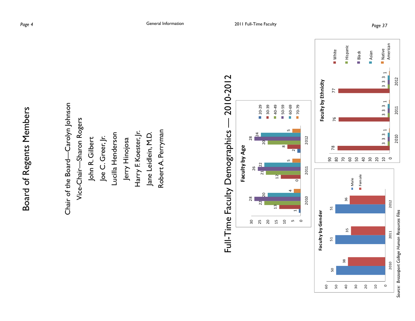Chair of the Board—Carolyn Johnson Chair of the Board-Carolyn Johnson Vice-Chair—Sharon Rogers Vice-Chair-Sharon Rogers Robert A. Perryman Harry F. Koester, Jr. Robert A. Perryman Lucilla Henderson Harry F. Koester, Jr. Jane Leidlein, M.D. Lucilla Henderson Jane Leidlein, M.D. Joe C. Greer, Jr. John R. Gilbert Joe C. Greer, Jr. Jerry Hinojosa John R. Gilbert Jerry Hinojosa





60 50  $\theta$ 30 Source: Brazosport College Human Resources Files *Source: Brazosport College Human Resources Files* 

 $\circ$ 

20  $\overline{a}$  2010 2011 2012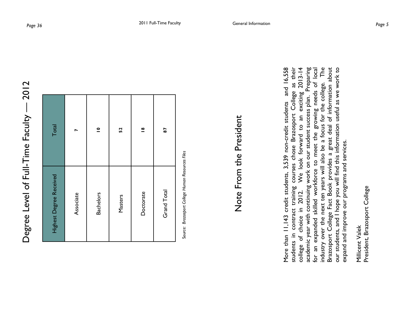| Total                   |           | $\overline{\phantom{a}}$ | 52      | $\mathbf{\underline{\ }^{\infty}}$ | 87          |
|-------------------------|-----------|--------------------------|---------|------------------------------------|-------------|
| Highest Degree Received | Associate | <b>Bachelors</b>         | Masters | Doctorate                          | Grand Total |

Source: Brazosport College Human Resources Files S*ource: Brazosport College Human Resources Files*

## Note From the President Note From the President

More than 11,143 credit students, 3,539 non-credit students and 16,558 students in contract training courses chose Brazosport College as their college of choice in 2012. We look forward to an exciting 2013-14 academic year with continuing work on our student success plan. Preparing for an expanded skilled workforce to meet the growing needs of local industry over the next ten years will also be a focus for the college. The Brazosport College Fact Book provides a great deal of information about our students, and I hope you will find this information useful as we work to courses cnose brazosport College as their<br>We look forward to an exciting 2013-14<br>work on our student success plan. Preparing industry over the next ten years will also be a focus for the college. The contract training courses chose Brazosport College as their Brazosport College Fact Book provides a great deal of information about our students, and I hope you will find this information useful as we work to and 16,558 needs of local academic year with continuing work on our student success plan. More than 11,143 credit students, 3,539 non-credit students to meet the growing expand and improve our programs and services. expand and improve our programs and services. for an expanded skilled workforce 2012. of choice in students in college

President, Brazosport College President, Brazosport College Millicent Valek Millicent Valek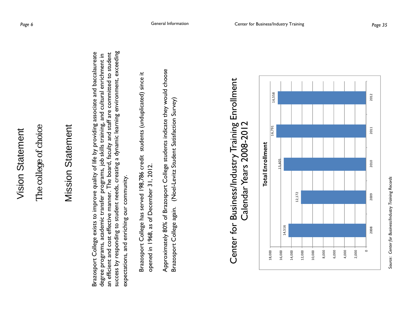#### The college of choice The college of choice

#### Mission Statement **Mission Statement**

success by responding to student needs, creating a dynamic learning environment, exceeding Brazosport College exists to improve quality of life by providing associate and baccalaureate an efficient and cost effective manner. The board, faculty and staff are committed to student success by responding to student needs, creating a dynamic learning environment, exceeding Brazosport College exists to improve quality of life by providing associate and baccalaureate degree programs, academic transfer programs, job skills training, and cultural enrichment in an efficient and cost effective manner. The board, faculty and staff are committed to student degree programs, academic transfer programs, job skills training, and cultural enrichment in expectations, and enriching our community. expectations, and enriching our community.

Brazosport College has served 198,786 credit students (unduplicated) since it Brazosport College has served 198,786 credit students (unduplicated) since it opened in 1968, as of December 31, 2012. opened in 1968, as of December 31, 2012.

Approximately 80% of Brazosport College students indicate they would choose Approximately 80% of Brazosport College students indicate they would choose Brazosport College again. (Noel-Levitz Student Satisfaction Survey) Brazosport College again. (Noel-Levitz Student Satisfaction Survey)



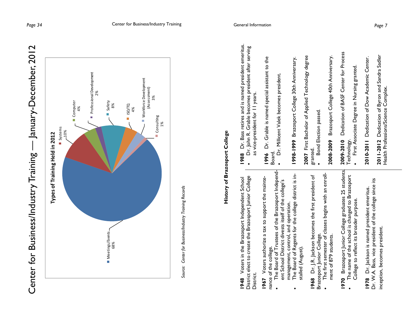

- 
- The Board of Regents for the college district is installed (August). stalled (August).

1968 Dr. J.R. Jackson becomes the first president of **1968** Dr. J.R. Jackson becomes the first president of Brazosport Junior College. Brazosport Junior College.

- The first semester of classes begins with an enroll- The first semester of classes begins with an enrollment of 879 students. ment of 879 students.
- **1970** Brazosport Junior College graduates 25 students. 1970 Brazosport Junior College graduates 25 students The name of the school is changed to Brazosport The name of the school is changed to Brazosport College to reflect its broader purpose. College to reflect its broader purpose.

Dr. W.A. Bass, vice president of the college since its Dr. W.A. Bass, vice president of the college since its **1978** Dr. Jackson is named president emeritus. 1978 Dr. Jackson is named president emeritus. inception, becomes president. inception, becomes president.

**2007** First Bachelor of Applied Technology degree 2007 First Bachelor of Applied Technology degree granted.<br>• Bond Election passed.

 Bond Election passed.  $\bullet$ 

**2008-2009** Brazosport College 40th Anniversary. Brazosport College 40th Anniversary. 2008-2009

**2009-2010** Dedication of BASF Center for Process Dedication of BASF Center for Process 2009-2010 Technology. Technology.

First Associate Degree in Nursing granted. First Associate Degree in Nursing granted.

**2010-2011** Dedication of Dow Academic Center. 2010-2011 Dedication of Dow Academic Center.

**2011-2012** Dedication of Byron and Sandra Sadler 2011-2012 Dedication of Byron and Sandra Sadler Health Professions/Science Complex. Health Professions/Science Complex.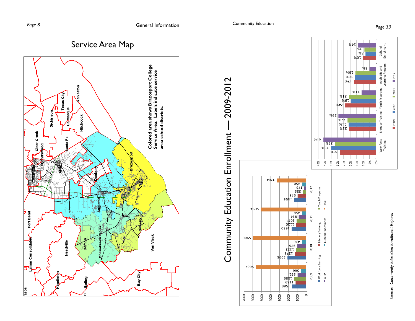



Cultural<br>Enrichment Enrichment

Work force Workforce<br>Training

Literacy Training Yout h Programs Adult Life and

Youth Programs

Literacy Training

**2010** 

■ 2009

**2011** 

**2012** 

Learning Program

Adult Life and<br>Learning Program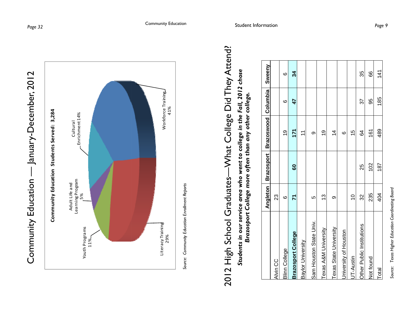





#### 2012 High School Graduates—What College Did They Attend? -What College Did They Attend? *Students in our service area who went to college in the Fall, 2012 chose*  Students in our service area who went to college in the Fall, 2012 chose *Brazosport College more often than any other college.*  Brazosport College more often than any other college. 2012 High School Graduates-

|                           | Angleton       |     | Brazosport Brazoswood Columbia |     | Sweeny |
|---------------------------|----------------|-----|--------------------------------|-----|--------|
| Alvin CC                  | 23             |     |                                |     |        |
| <b>Blinn College</b>      | ဖ              |     | <u>ღ</u>                       | 6   | ဖ      |
| <b>Brazosport College</b> | 71             | 8   | 171                            | 47  | 34     |
| Baylor University         |                |     | $\tilde{\tau}$                 |     |        |
| Sam Houston State Univ.   | မာ             |     | თ                              |     |        |
| Texas A&M University      | <u>ლ</u>       |     | ół                             |     |        |
| Texas State University    | $\sigma$       |     | $\overline{4}$                 |     |        |
| University of Houston     |                |     | ဖ                              |     |        |
| UT-Austin                 | $\overline{C}$ |     | 10                             |     |        |
| Other Public Institutions | 32             | 25  | 84                             | 57  | 35     |
| Not found                 | 235            | 102 | 161                            | 95  | 89     |
| Total                     | 404            | 187 | 489                            | 185 | 141    |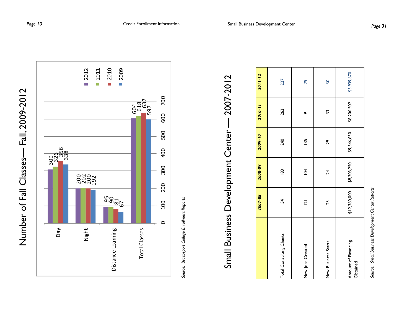



*Source: Brazosport College Enrollment Reports*  Source: Brazosport College Enrollment Reports

## Small Business Development Center — 2007-2012 2007-2012 Small Business Development Center-

|                                 | 2007-08        | 2008-09         | 2009-10     | 2010-11             | $2011 - 12$     |
|---------------------------------|----------------|-----------------|-------------|---------------------|-----------------|
| Total Consulting Clients        | 154            | $\frac{8}{3}$   | 240         | 262                 | 227             |
| New Jobs Created                | $\overline{2}$ | $\overline{5}$  | <b>135</b>  | $\overline{\sigma}$ | <b>P</b>        |
| New Business Starts             | 25             | $\overline{24}$ | 29          | 33                  | $\overline{30}$ |
| Amount of Financing<br>Obtained | \$12,360,000   | \$8,303,250     | \$9,546,650 | \$8,206,502         | \$5,939,670     |

Source: Small Business Development Center Reports *Source: Small Business Development Center Reports*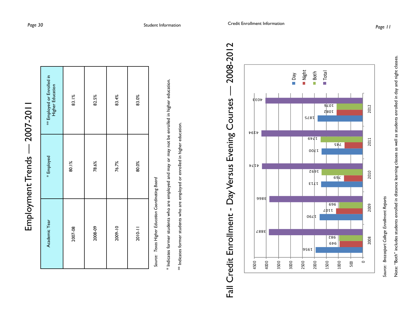| ^<br>م        |
|---------------|
|               |
|               |
|               |
|               |
| $-200$        |
|               |
|               |
|               |
|               |
|               |
|               |
|               |
|               |
|               |
| יממי          |
|               |
|               |
|               |
|               |
|               |
|               |
|               |
| $\frac{1}{2}$ |
|               |
|               |
|               |
|               |
|               |
|               |
|               |
|               |
|               |
| į             |
|               |
|               |
|               |

| Academic Year | * Employed | ** Employed or Enrolled in<br>Higher Education |
|---------------|------------|------------------------------------------------|
| 2007-08       | 80.1%      | 83.1%                                          |
| 2008-09       | 78.6%      | 82.5%                                          |
| 2009-10       | 76.7%      | 83.4%                                          |
| 2010-11       | 80.0%      | 83.0%                                          |

 *Source: Texas Higher Education Coordinating Board*  Source: Texas Higher Education Coordinating Board \* Indicates former students who are employed and may or may not be enrolled in higher education. \* Indicates former students who are employed and may or may not be enrolled in higher education.

\*\* Indicates former students who are employed or enrolled in higher education. \*\* Indicates former students who are employed or enrolled in higher education.



Fall Credit Enrollment - Day Versus Evening Courses — 2008-2012 2008-2012  $\overline{\phantom{a}}$ Day Versus Evening Courses Fall Credit Enrollment -

*Source: Brazosport College Enrollment Reports*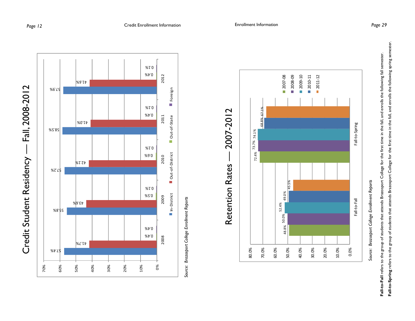







**Fall-to-Spring** refers to the group of students that attends Brazosport College for the first time in the fall, and enrolls the following spring semester. Fall-to-Spring refers to the group of students that attends Brazosport College for the first time in the fall, and enrolls the following spring semester. **Fall-to-Fall** refers to the group of students that attends Brazosport College for the first time in the fall, and enrolls the following fall semester. Fall-to-Fall refers to the group of students that attends Brazosport College for the first time in the fall, and enrolls the following fall semester.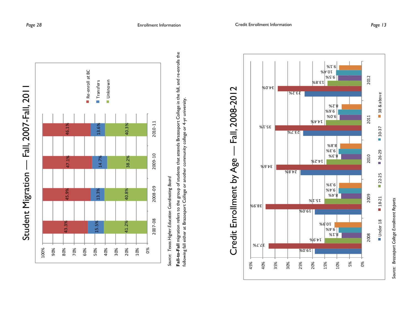



*Source: Texas Higher Education Coordinating Board*  Source: Texas Higher Education Coordinating Board

**Fall-to-Fall** migration refers to the group of students that attends Brazosport College in the fall, and re-enrolls the Fall-to-Fall migration refers to the group of students that attends Brazosport College in the fall, and re-enrolls the following fall either at Brazosport College or another community college or 4-yr university. following fall either at Brazosport College or another community college or 4-yr university.

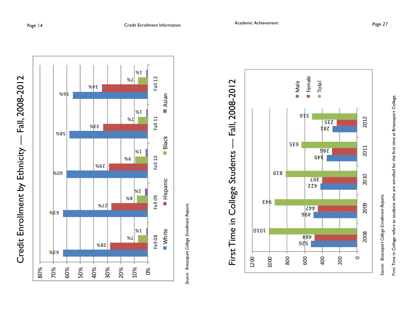





### First Time in College Students — Fall, 2008-2012 Fall, 2008-2012 H First Time in College Students

*Source: Brazosport College Enrollment Reports*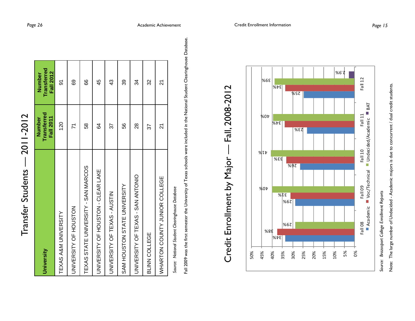| University                               | <b>Transferred</b><br><b>Fall 2011</b><br>Number | <b>Transferred</b><br><b>Fall 2012</b><br>Number |
|------------------------------------------|--------------------------------------------------|--------------------------------------------------|
| TEXAS A&M UNIVERSITY                     | 120                                              | 5                                                |
| UNIVERSITY OF HOUSTON                    | $\overline{7}$                                   | 89                                               |
| TEXAS STATE UNIVERSITY - SAN MARCOS      | 58                                               | 89                                               |
| UNIVERSITY OF HOUSTON - CLEAR LAKE       | 84                                               | 45                                               |
| UNIVERSITY OF TEXAS - AUSTIN             | 57                                               | 43                                               |
| SAM HOUSTON STATE UNIVERSITY             | 56                                               | 39                                               |
| <b>DINVERSITY OF TEXAS - SAN ANTONIO</b> | 88                                               | 34                                               |
| BLINN COLLEGE                            | 57                                               | 32                                               |
| WHARTON COUNTY JUNIOR COLLEGE            | ম                                                | 21                                               |

*Source: National Student Clearinghouse Database*  Source: National Student Clearinghouse Database

Fall 2009 was the first semester the University of Texas schools were included in the National Student Clearinghouse Database. Fall 2009 was the first semester the University of Texas schools were included in the National Student Clearinghouse Database.





*Source: Brazosport College Enrollment Reports*

Transfer Students — 2011-2012

Transfer Students -

2011-2012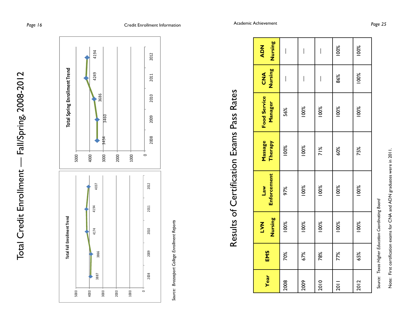

*Source: Brazosport College Enrollment Reports*  Source: Brazosport College Enrollment Reports

# Results of Certification Exams Pass Rates Results of Certification Exams Pass Rates

| Year | EMS | Nursing<br><b>NAT</b> | <b>Enforcement</b><br><b>Law</b> | Massage<br>Therapy | <b>Food Service</b><br>Manager | Nursing<br>$rac{d}{d}$ | Nursing<br><b>ADN</b>          |
|------|-----|-----------------------|----------------------------------|--------------------|--------------------------------|------------------------|--------------------------------|
| 2008 | 70% | 100%                  | 97%                              | 100%               | 56%                            | I                      | I                              |
| 2009 | 67% | 100%                  | 100%                             | 100%               | 100%                           | I                      | I                              |
| 2010 | 78% | 100%                  | 100%                             | $\frac{8}{10}$     | 100%                           | $\bigg $               | $\begin{array}{c} \end{array}$ |
| 2011 | 77% | 100%                  | 100%                             | 60%                | 100%                           | 86%                    | 100%                           |
| 2012 | 65% | 100%                  | 100%                             | 75%                | 100%                           | 100%                   | 100%                           |

 $\mathcal{S}_{\mathcal{S}}$ *ource: Texas Higher Education Coordinating Board* Note: First certification exams for CNA and ADN graduates were in 2011.

Note: First certification exams for CNA and ADN graduates were in 2011.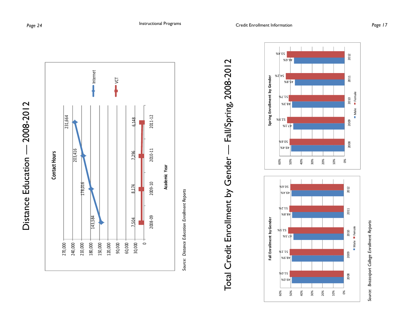



## Total Credit Enrollment by Gender — Fall/Spring, 2008-2012 Fall/Spring, 2008-2012 Total Credit Enrollment by Gender-



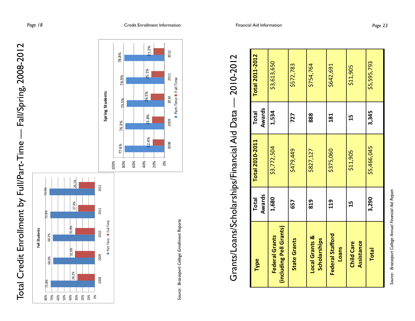







|                                                  | <b>Total</b> | <b>Total 2010-2011</b> | <b>Total</b> | <b>Total 2011-2012</b> |
|--------------------------------------------------|--------------|------------------------|--------------|------------------------|
| Type                                             | Awards       |                        | Awards       |                        |
| (including Pell Grants)<br><b>Federal Grants</b> | 1,680        | \$3,772,504            | 1,534        | \$3,613,650            |
| <b>State Grants</b>                              | 657          | \$479,449              | 727          | \$572,783              |
| <b>Local Grants &amp;</b><br>Scholarships        | 819          | \$827,127              | 888          | \$754,764              |
| Federal Stafford<br><b>Loans</b>                 | 119          | \$375,060              | 181          | \$642,691              |
| Assistance<br><b>Child Care</b>                  | 15           | \$11,905               | 15           | \$11,905               |
| <b>Total</b>                                     | 3,290        | \$5,466,045            | 3,345        | \$5,595,793            |

Source: Brazosport College Annual Financial Aid Report *Source: Brazosport College Annual Financial Aid Report*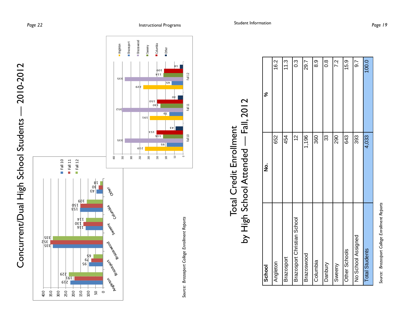



Source: Brazosport College Enrollment Reports *Source: Brazosport College Enrollment Reports* 

 $\circ$ 

Fall 10 Fall 11 Fall 12

Fall 11

Fall 10

Fall 12

#### by High School Attended — Fall, 2012 Fall, 2012 Total Credit Enrollment Total Credit Enrollment by High School Attended -

| School                      | ġ             | ಸಿ               |
|-----------------------------|---------------|------------------|
| Angleton                    | 652           | 16.2             |
| Brazosport                  | 454           | 11.3             |
| Brazosport Christian School | $\frac{1}{2}$ | $0.\overline{3}$ |
| Brazoswood                  | 1,196         | 29.7             |
| Columbia                    | 360           | 0.<br>8.         |
| Danbury                     | 33            | $\frac{8}{1}$    |
| Sweeny                      | 290           | 7.2              |
| Other Schools               | 643           | 15.9             |
| No School Assigned          | 393           | 5.G              |
| <b>Total Students</b>       | 4,033         | 100.0            |

Source: Brazosport College Enrollment Reports *Source: Brazosport College Enrollment Reports*